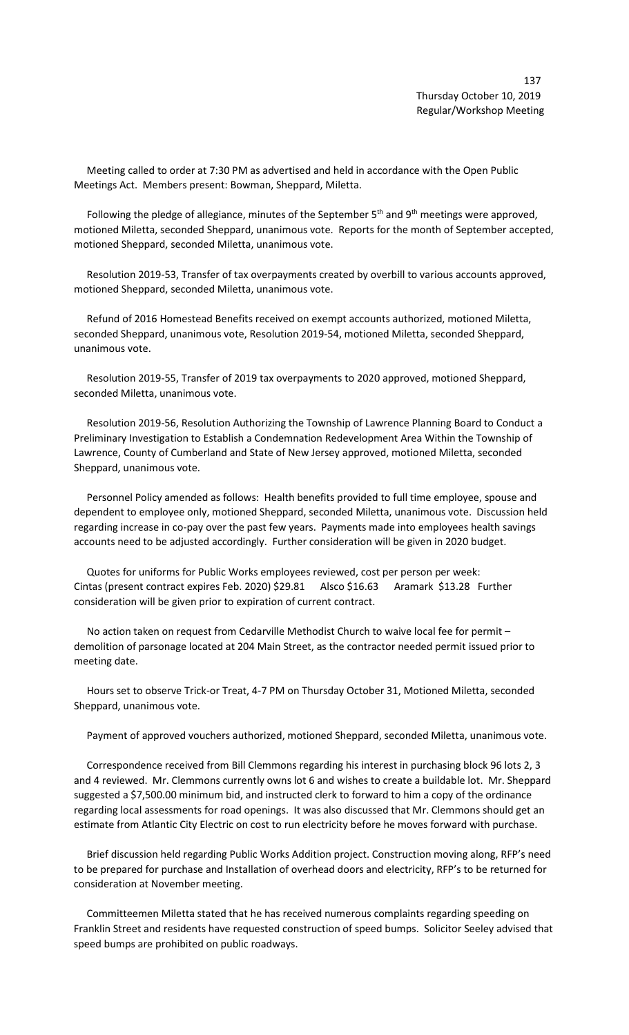Meeting called to order at 7:30 PM as advertised and held in accordance with the Open Public Meetings Act. Members present: Bowman, Sheppard, Miletta.

Following the pledge of allegiance, minutes of the September  $5<sup>th</sup>$  and  $9<sup>th</sup>$  meetings were approved, motioned Miletta, seconded Sheppard, unanimous vote. Reports for the month of September accepted, motioned Sheppard, seconded Miletta, unanimous vote.

 Resolution 2019-53, Transfer of tax overpayments created by overbill to various accounts approved, motioned Sheppard, seconded Miletta, unanimous vote.

 Refund of 2016 Homestead Benefits received on exempt accounts authorized, motioned Miletta, seconded Sheppard, unanimous vote, Resolution 2019-54, motioned Miletta, seconded Sheppard, unanimous vote.

 Resolution 2019-55, Transfer of 2019 tax overpayments to 2020 approved, motioned Sheppard, seconded Miletta, unanimous vote.

 Resolution 2019-56, Resolution Authorizing the Township of Lawrence Planning Board to Conduct a Preliminary Investigation to Establish a Condemnation Redevelopment Area Within the Township of Lawrence, County of Cumberland and State of New Jersey approved, motioned Miletta, seconded Sheppard, unanimous vote.

 Personnel Policy amended as follows: Health benefits provided to full time employee, spouse and dependent to employee only, motioned Sheppard, seconded Miletta, unanimous vote. Discussion held regarding increase in co-pay over the past few years. Payments made into employees health savings accounts need to be adjusted accordingly. Further consideration will be given in 2020 budget.

 Quotes for uniforms for Public Works employees reviewed, cost per person per week: Cintas (present contract expires Feb. 2020) \$29.81 Alsco \$16.63 Aramark \$13.28 Further consideration will be given prior to expiration of current contract.

 No action taken on request from Cedarville Methodist Church to waive local fee for permit – demolition of parsonage located at 204 Main Street, as the contractor needed permit issued prior to meeting date.

 Hours set to observe Trick-or Treat, 4-7 PM on Thursday October 31, Motioned Miletta, seconded Sheppard, unanimous vote.

Payment of approved vouchers authorized, motioned Sheppard, seconded Miletta, unanimous vote.

 Correspondence received from Bill Clemmons regarding his interest in purchasing block 96 lots 2, 3 and 4 reviewed. Mr. Clemmons currently owns lot 6 and wishes to create a buildable lot. Mr. Sheppard suggested a \$7,500.00 minimum bid, and instructed clerk to forward to him a copy of the ordinance regarding local assessments for road openings. It was also discussed that Mr. Clemmons should get an estimate from Atlantic City Electric on cost to run electricity before he moves forward with purchase.

 Brief discussion held regarding Public Works Addition project. Construction moving along, RFP's need to be prepared for purchase and Installation of overhead doors and electricity, RFP's to be returned for consideration at November meeting.

 Committeemen Miletta stated that he has received numerous complaints regarding speeding on Franklin Street and residents have requested construction of speed bumps. Solicitor Seeley advised that speed bumps are prohibited on public roadways.